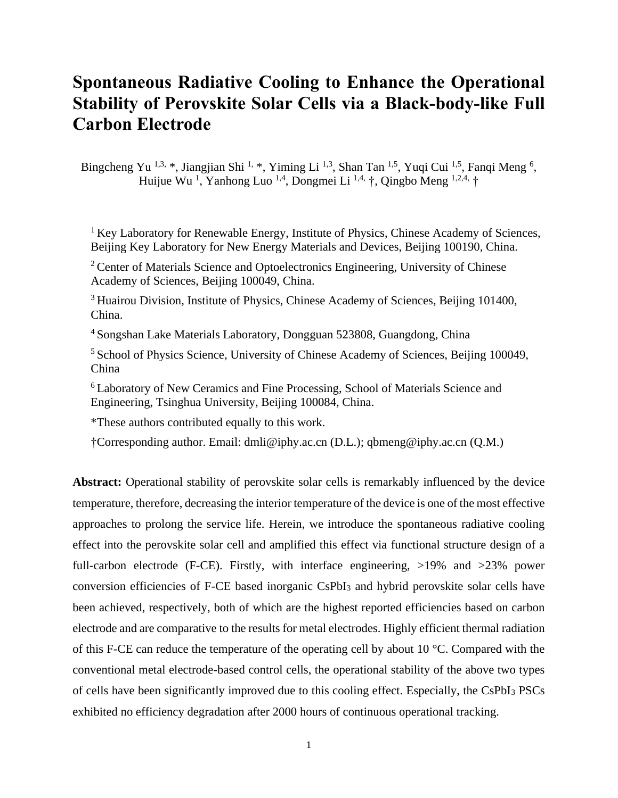## **Spontaneous Radiative Cooling to Enhance the Operational Stability of Perovskite Solar Cells via a Black-body-like Full Carbon Electrode**

Bingcheng Yu<sup>1,3,</sup> \*, Jiangjian Shi<sup>1,</sup> \*, Yiming Li<sup>1,3</sup>, Shan Tan<sup>1,5</sup>, Yuqi Cui<sup>1,5</sup>, Fanqi Meng<sup>6</sup>, Huijue Wu<sup>1</sup>, Yanhong Luo<sup>1,4</sup>, Dongmei Li<sup>1,4,</sup> †, Qingbo Meng <sup>1,2,4,</sup> †

<sup>1</sup> Key Laboratory for Renewable Energy, Institute of Physics, Chinese Academy of Sciences, Beijing Key Laboratory for New Energy Materials and Devices, Beijing 100190, China.

<sup>2</sup> Center of Materials Science and Optoelectronics Engineering, University of Chinese Academy of Sciences, Beijing 100049, China.

<sup>3</sup> Huairou Division, Institute of Physics, Chinese Academy of Sciences, Beijing 101400, China.

<sup>4</sup> Songshan Lake Materials Laboratory, Dongguan 523808, Guangdong, China

<sup>5</sup> School of Physics Science, University of Chinese Academy of Sciences, Beijing 100049, China

<sup>6</sup>Laboratory of New Ceramics and Fine Processing, School of Materials Science and Engineering, Tsinghua University, Beijing 100084, China.

\*These authors contributed equally to this work.

†Corresponding author. Email: dmli@iphy.ac.cn (D.L.); qbmeng@iphy.ac.cn (Q.M.)

**Abstract:** Operational stability of perovskite solar cells is remarkably influenced by the device temperature, therefore, decreasing the interior temperature of the device is one of the most effective approaches to prolong the service life. Herein, we introduce the spontaneous radiative cooling effect into the perovskite solar cell and amplified this effect via functional structure design of a full-carbon electrode (F-CE). Firstly, with interface engineering,  $>19\%$  and  $>23\%$  power conversion efficiencies of F-CE based inorganic CsPbI<sup>3</sup> and hybrid perovskite solar cells have been achieved, respectively, both of which are the highest reported efficiencies based on carbon electrode and are comparative to the results for metal electrodes. Highly efficient thermal radiation of this F-CE can reduce the temperature of the operating cell by about 10 °C. Compared with the conventional metal electrode-based control cells, the operational stability of the above two types of cells have been significantly improved due to this cooling effect. Especially, the CsPbI<sup>3</sup> PSCs exhibited no efficiency degradation after 2000 hours of continuous operational tracking.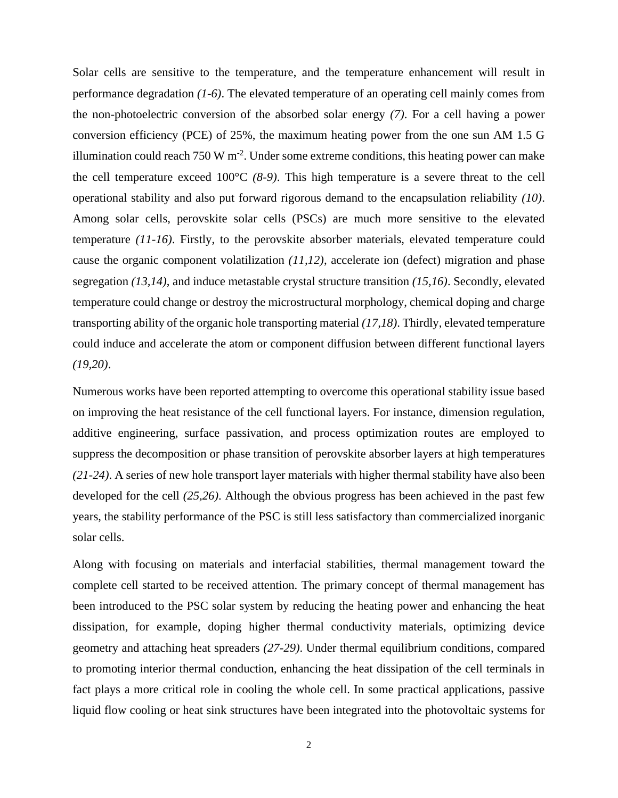Solar cells are sensitive to the temperature, and the temperature enhancement will result in performance degradation *(1-6)*. The elevated temperature of an operating cell mainly comes from the non-photoelectric conversion of the absorbed solar energy *(7)*. For a cell having a power conversion efficiency (PCE) of 25%, the maximum heating power from the one sun AM 1.5 G illumination could reach 750 W m<sup>-2</sup>. Under some extreme conditions, this heating power can make the cell temperature exceed 100°C *(8-9)*. This high temperature is a severe threat to the cell operational stability and also put forward rigorous demand to the encapsulation reliability *(10)*. Among solar cells, perovskite solar cells (PSCs) are much more sensitive to the elevated temperature *(11-16)*. Firstly, to the perovskite absorber materials, elevated temperature could cause the organic component volatilization *(11,12)*, accelerate ion (defect) migration and phase segregation *(13,14)*, and induce metastable crystal structure transition *(15,16)*. Secondly, elevated temperature could change or destroy the microstructural morphology, chemical doping and charge transporting ability of the organic hole transporting material *(17,18)*. Thirdly, elevated temperature could induce and accelerate the atom or component diffusion between different functional layers *(19,20)*.

Numerous works have been reported attempting to overcome this operational stability issue based on improving the heat resistance of the cell functional layers. For instance, dimension regulation, additive engineering, surface passivation, and process optimization routes are employed to suppress the decomposition or phase transition of perovskite absorber layers at high temperatures *(21-24)*. A series of new hole transport layer materials with higher thermal stability have also been developed for the cell *(25,26)*. Although the obvious progress has been achieved in the past few years, the stability performance of the PSC is still less satisfactory than commercialized inorganic solar cells.

Along with focusing on materials and interfacial stabilities, thermal management toward the complete cell started to be received attention. The primary concept of thermal management has been introduced to the PSC solar system by reducing the heating power and enhancing the heat dissipation, for example, doping higher thermal conductivity materials, optimizing device geometry and attaching heat spreaders *(27-29)*. Under thermal equilibrium conditions, compared to promoting interior thermal conduction, enhancing the heat dissipation of the cell terminals in fact plays a more critical role in cooling the whole cell. In some practical applications, passive liquid flow cooling or heat sink structures have been integrated into the photovoltaic systems for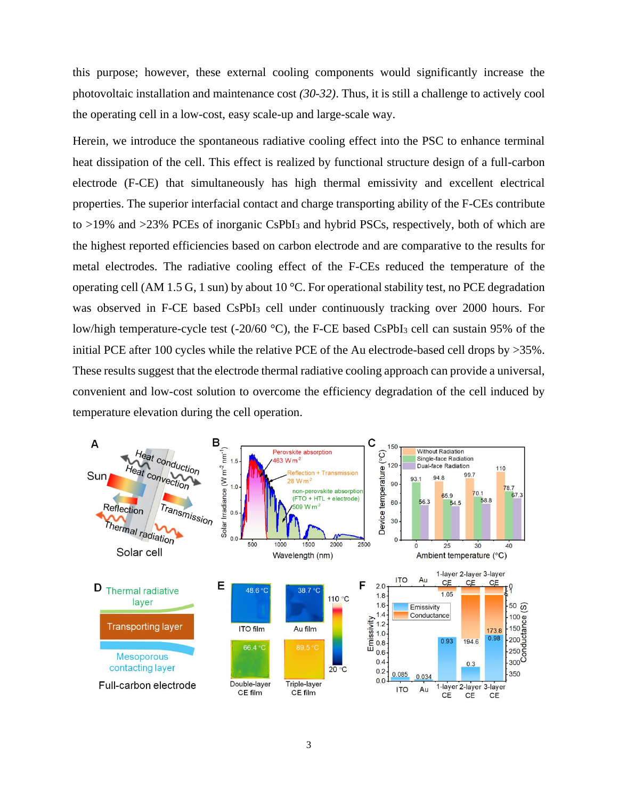this purpose; however, these external cooling components would significantly increase the photovoltaic installation and maintenance cost *(30-32)*. Thus, it is still a challenge to actively cool the operating cell in a low-cost, easy scale-up and large-scale way.

Herein, we introduce the spontaneous radiative cooling effect into the PSC to enhance terminal heat dissipation of the cell. This effect is realized by functional structure design of a full-carbon electrode (F-CE) that simultaneously has high thermal emissivity and excellent electrical properties. The superior interfacial contact and charge transporting ability of the F-CEs contribute to >19% and >23% PCEs of inorganic CsPbI<sub>3</sub> and hybrid PSCs, respectively, both of which are the highest reported efficiencies based on carbon electrode and are comparative to the results for metal electrodes. The radiative cooling effect of the F-CEs reduced the temperature of the operating cell (AM 1.5 G, 1 sun) by about 10 °C. For operational stability test, no PCE degradation was observed in F-CE based CsPbI<sup>3</sup> cell under continuously tracking over 2000 hours. For low/high temperature-cycle test (-20/60 °C), the F-CE based CsPbI<sub>3</sub> cell can sustain 95% of the initial PCE after 100 cycles while the relative PCE of the Au electrode-based cell drops by >35%. These results suggest that the electrode thermal radiative cooling approach can provide a universal, convenient and low-cost solution to overcome the efficiency degradation of the cell induced by temperature elevation during the cell operation.

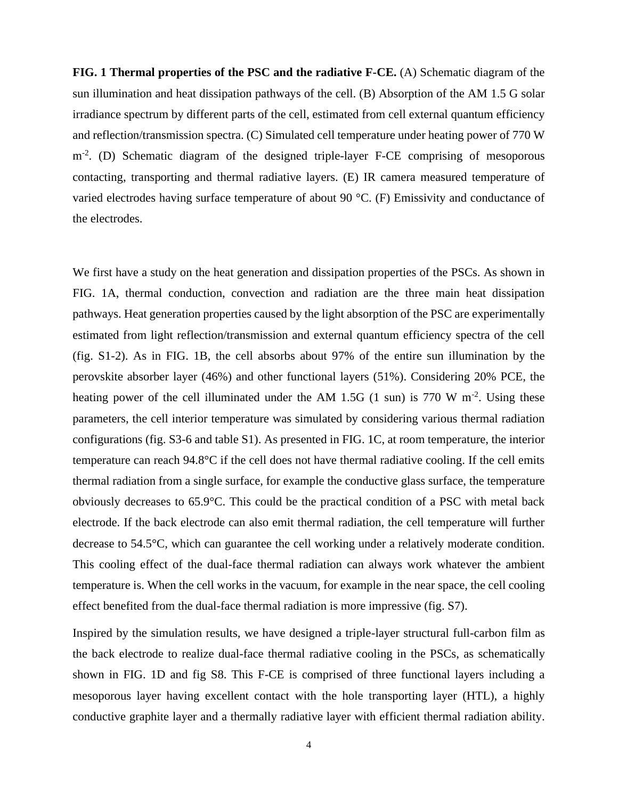**FIG. 1 Thermal properties of the PSC and the radiative F-CE.** (A) Schematic diagram of the sun illumination and heat dissipation pathways of the cell. (B) Absorption of the AM 1.5 G solar irradiance spectrum by different parts of the cell, estimated from cell external quantum efficiency and reflection/transmission spectra. (C) Simulated cell temperature under heating power of 770 W m<sup>-2</sup>. (D) Schematic diagram of the designed triple-layer F-CE comprising of mesoporous contacting, transporting and thermal radiative layers. (E) IR camera measured temperature of varied electrodes having surface temperature of about 90 °C. (F) Emissivity and conductance of the electrodes.

We first have a study on the heat generation and dissipation properties of the PSCs. As shown in FIG. 1A, thermal conduction, convection and radiation are the three main heat dissipation pathways. Heat generation properties caused by the light absorption of the PSC are experimentally estimated from light reflection/transmission and external quantum efficiency spectra of the cell (fig. S1-2). As in FIG. 1B, the cell absorbs about 97% of the entire sun illumination by the perovskite absorber layer (46%) and other functional layers (51%). Considering 20% PCE, the heating power of the cell illuminated under the AM 1.5G  $(1 \text{ sun})$  is 770 W m<sup>-2</sup>. Using these parameters, the cell interior temperature was simulated by considering various thermal radiation configurations (fig. S3-6 and table S1). As presented in FIG. 1C, at room temperature, the interior temperature can reach 94.8°C if the cell does not have thermal radiative cooling. If the cell emits thermal radiation from a single surface, for example the conductive glass surface, the temperature obviously decreases to 65.9°C. This could be the practical condition of a PSC with metal back electrode. If the back electrode can also emit thermal radiation, the cell temperature will further decrease to 54.5°C, which can guarantee the cell working under a relatively moderate condition. This cooling effect of the dual-face thermal radiation can always work whatever the ambient temperature is. When the cell works in the vacuum, for example in the near space, the cell cooling effect benefited from the dual-face thermal radiation is more impressive (fig. S7).

Inspired by the simulation results, we have designed a triple-layer structural full-carbon film as the back electrode to realize dual-face thermal radiative cooling in the PSCs, as schematically shown in FIG. 1D and fig S8. This F-CE is comprised of three functional layers including a mesoporous layer having excellent contact with the hole transporting layer (HTL), a highly conductive graphite layer and a thermally radiative layer with efficient thermal radiation ability.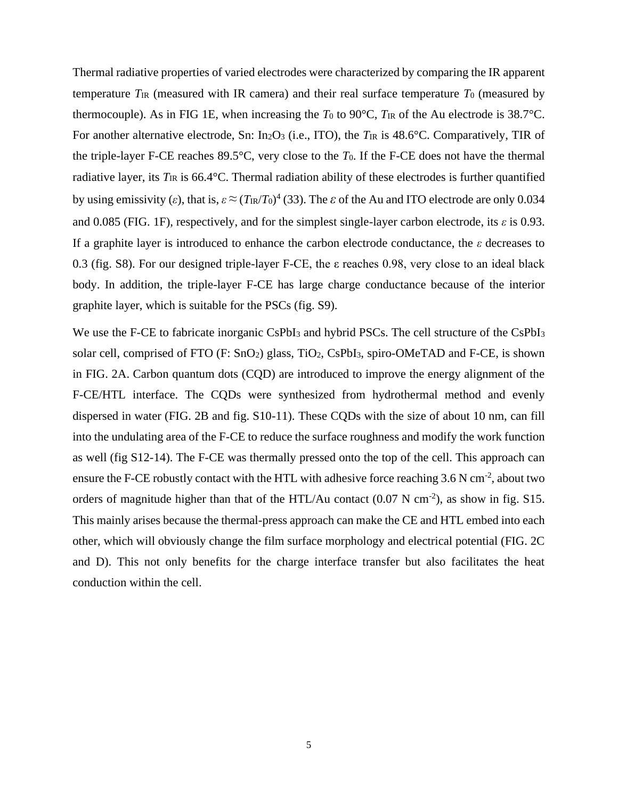Thermal radiative properties of varied electrodes were characterized by comparing the IR apparent temperature  $T_{IR}$  (measured with IR camera) and their real surface temperature  $T_0$  (measured by thermocouple). As in FIG 1E, when increasing the  $T_0$  to 90 $\degree$ C,  $T_{IR}$  of the Au electrode is 38.7 $\degree$ C. For another alternative electrode, Sn: In<sub>2</sub>O<sub>3</sub> (i.e., ITO), the  $T_{IR}$  is 48.6°C. Comparatively, TIR of the triple-layer F-CE reaches 89.5°C, very close to the *T*0. If the F-CE does not have the thermal radiative layer, its  $T_{IR}$  is 66.4°C. Thermal radiation ability of these electrodes is further quantified by using emissivity (*ε*), that is,  $\varepsilon \approx (T_{IR}/T_0)^4$  (33). The *ε* of the Au and ITO electrode are only 0.034 and 0.085 (FIG. 1F), respectively, and for the simplest single-layer carbon electrode, its *ε* is 0.93. If a graphite layer is introduced to enhance the carbon electrode conductance, the *ε* decreases to 0.3 (fig. S8). For our designed triple-layer F-CE, the ε reaches 0.98, very close to an ideal black body. In addition, the triple-layer F-CE has large charge conductance because of the interior graphite layer, which is suitable for the PSCs (fig. S9).

We use the F-CE to fabricate inorganic CsPbI<sub>3</sub> and hybrid PSCs. The cell structure of the CsPbI<sub>3</sub> solar cell, comprised of FTO (F: SnO<sub>2</sub>) glass, TiO<sub>2</sub>, CsPbI<sub>3</sub>, spiro-OMeTAD and F-CE, is shown in FIG. 2A. Carbon quantum dots (CQD) are introduced to improve the energy alignment of the F-CE/HTL interface. The CQDs were synthesized from hydrothermal method and evenly dispersed in water (FIG. 2B and fig. S10-11). These CQDs with the size of about 10 nm, can fill into the undulating area of the F-CE to reduce the surface roughness and modify the work function as well (fig S12-14). The F-CE was thermally pressed onto the top of the cell. This approach can ensure the F-CE robustly contact with the HTL with adhesive force reaching  $3.6$  N cm<sup>-2</sup>, about two orders of magnitude higher than that of the HTL/Au contact  $(0.07 \text{ N cm}^2)$ , as show in fig. S15. This mainly arises because the thermal-press approach can make the CE and HTL embed into each other, which will obviously change the film surface morphology and electrical potential (FIG. 2C and D). This not only benefits for the charge interface transfer but also facilitates the heat conduction within the cell.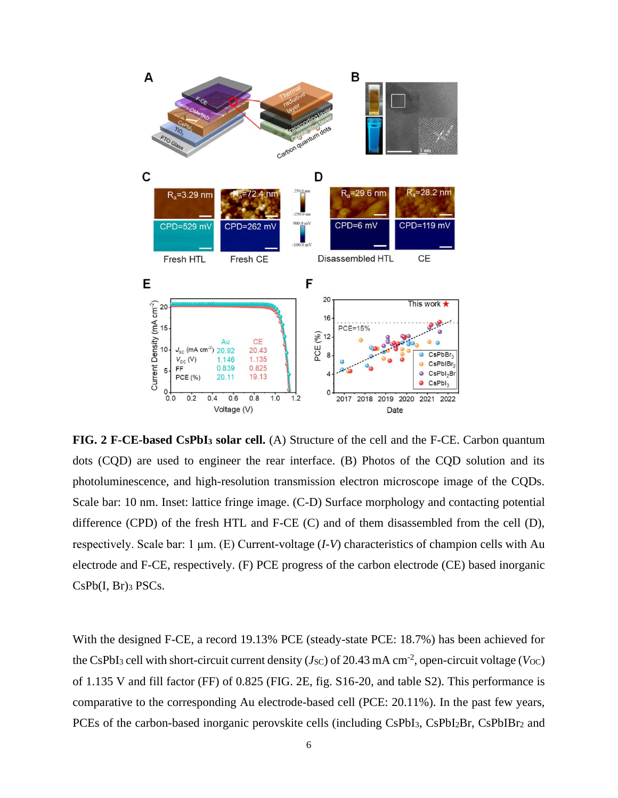

**FIG. 2 F-CE-based CsPbI<sup>3</sup> solar cell.** (A) Structure of the cell and the F-CE. Carbon quantum dots (CQD) are used to engineer the rear interface. (B) Photos of the CQD solution and its photoluminescence, and high-resolution transmission electron microscope image of the CQDs. Scale bar: 10 nm. Inset: lattice fringe image. (C-D) Surface morphology and contacting potential difference (CPD) of the fresh HTL and F-CE (C) and of them disassembled from the cell (D), respectively. Scale bar: 1 μm. (E) Current-voltage (*I-V*) characteristics of champion cells with Au electrode and F-CE, respectively. (F) PCE progress of the carbon electrode (CE) based inorganic  $CsPb(I, Br)3 PSCs.$ 

With the designed F-CE, a record 19.13% PCE (steady-state PCE: 18.7%) has been achieved for the CsPbI<sub>3</sub> cell with short-circuit current density ( $J_{\rm SC}$ ) of 20.43 mA cm<sup>-2</sup>, open-circuit voltage ( $V_{\rm OC}$ ) of 1.135 V and fill factor (FF) of 0.825 (FIG. 2E, fig. S16-20, and table S2). This performance is comparative to the corresponding Au electrode-based cell (PCE: 20.11%). In the past few years, PCEs of the carbon-based inorganic perovskite cells (including CsPbI<sub>3</sub>, CsPbI<sub>2</sub>Br, CsPbIBr<sub>2</sub> and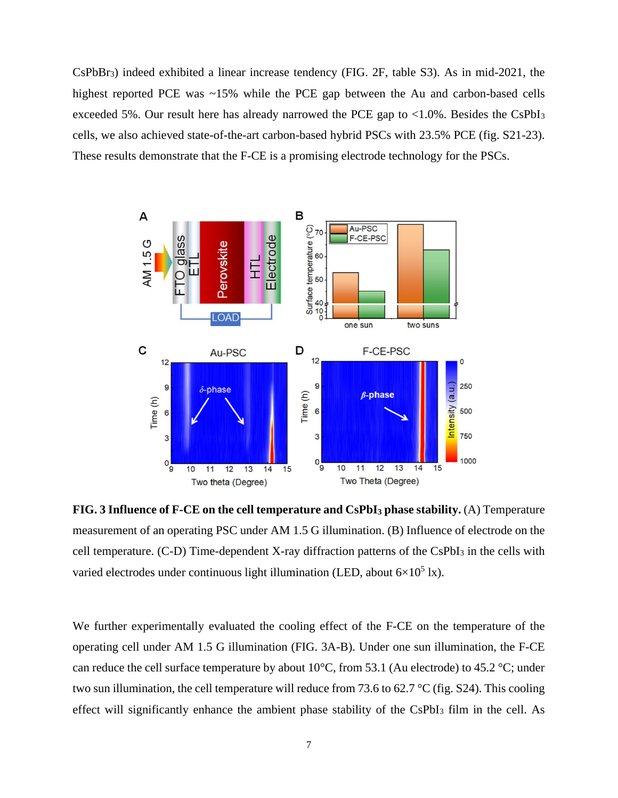CsPbBr3) indeed exhibited a linear increase tendency (FIG. 2F, table S3). As in mid-2021, the highest reported PCE was ~15% while the PCE gap between the Au and carbon-based cells exceeded 5%. Our result here has already narrowed the PCE gap to <1.0%. Besides the CsPbI<sup>3</sup> cells, we also achieved state-of-the-art carbon-based hybrid PSCs with 23.5% PCE (fig. S21-23). These results demonstrate that the F-CE is a promising electrode technology for the PSCs.



**FIG. 3 Influence of F-CE on the cell temperature and CsPbI<sup>3</sup> phase stability.** (A) Temperature measurement of an operating PSC under AM 1.5 G illumination. (B) Influence of electrode on the cell temperature. (C-D) Time-dependent X-ray diffraction patterns of the CsPbI<sup>3</sup> in the cells with varied electrodes under continuous light illumination (LED, about  $6\times10^5$  lx).

We further experimentally evaluated the cooling effect of the F-CE on the temperature of the operating cell under AM 1.5 G illumination (FIG. 3A-B). Under one sun illumination, the F-CE can reduce the cell surface temperature by about  $10^{\circ}$ C, from 53.1 (Au electrode) to 45.2 °C; under two sun illumination, the cell temperature will reduce from 73.6 to 62.7 °C (fig. S24). This cooling effect will significantly enhance the ambient phase stability of the CsPbI<sub>3</sub> film in the cell. As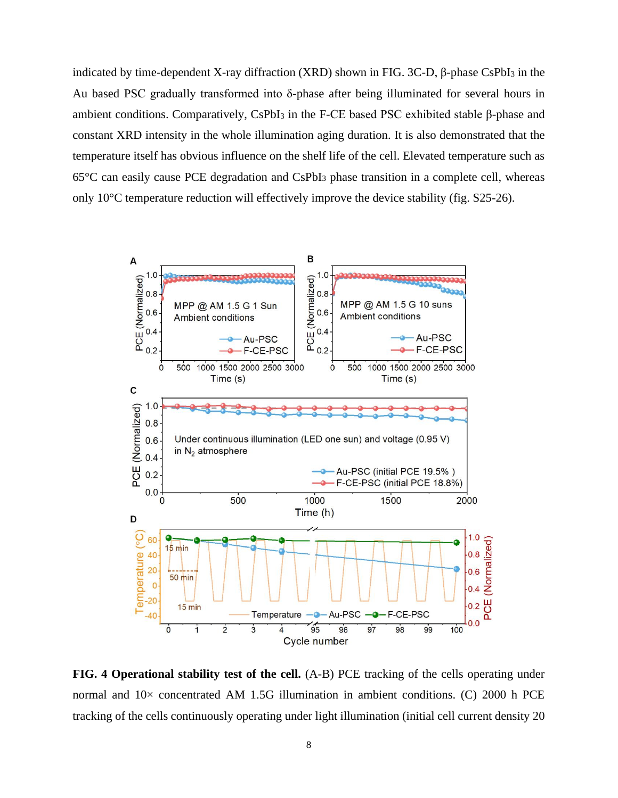indicated by time-dependent X-ray diffraction (XRD) shown in FIG. 3C-D, β-phase CsPbI<sup>3</sup> in the Au based PSC gradually transformed into δ-phase after being illuminated for several hours in ambient conditions. Comparatively, CsPbI<sup>3</sup> in the F-CE based PSC exhibited stable β-phase and constant XRD intensity in the whole illumination aging duration. It is also demonstrated that the temperature itself has obvious influence on the shelf life of the cell. Elevated temperature such as 65°C can easily cause PCE degradation and CsPbI<sup>3</sup> phase transition in a complete cell, whereas only 10°C temperature reduction will effectively improve the device stability (fig. S25-26).



**FIG. 4 Operational stability test of the cell.** (A-B) PCE tracking of the cells operating under normal and  $10\times$  concentrated AM 1.5G illumination in ambient conditions. (C) 2000 h PCE tracking of the cells continuously operating under light illumination (initial cell current density 20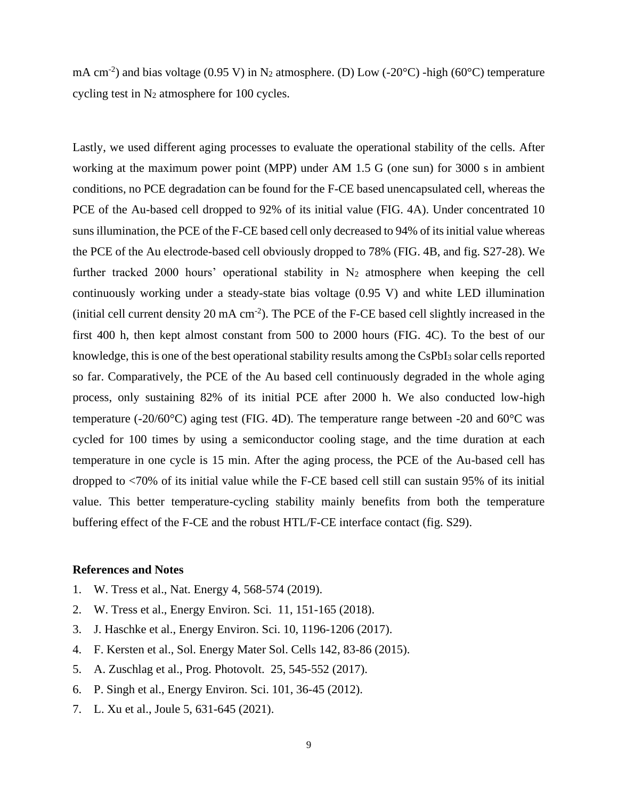mA cm<sup>-2</sup>) and bias voltage (0.95 V) in N<sub>2</sub> atmosphere. (D) Low (-20 $^{\circ}$ C) -high (60 $^{\circ}$ C) temperature cycling test in N<sup>2</sup> atmosphere for 100 cycles.

Lastly, we used different aging processes to evaluate the operational stability of the cells. After working at the maximum power point (MPP) under AM 1.5 G (one sun) for 3000 s in ambient conditions, no PCE degradation can be found for the F-CE based unencapsulated cell, whereas the PCE of the Au-based cell dropped to 92% of its initial value (FIG. 4A). Under concentrated 10 suns illumination, the PCE of the F-CE based cell only decreased to 94% of its initial value whereas the PCE of the Au electrode-based cell obviously dropped to 78% (FIG. 4B, and fig. S27-28). We further tracked 2000 hours' operational stability in  $N_2$  atmosphere when keeping the cell continuously working under a steady-state bias voltage (0.95 V) and white LED illumination (initial cell current density 20 mA cm<sup>-2</sup>). The PCE of the F-CE based cell slightly increased in the first 400 h, then kept almost constant from 500 to 2000 hours (FIG. 4C). To the best of our knowledge, this is one of the best operational stability results among the CsPbI<sup>3</sup> solar cells reported so far. Comparatively, the PCE of the Au based cell continuously degraded in the whole aging process, only sustaining 82% of its initial PCE after 2000 h. We also conducted low-high temperature (-20/60°C) aging test (FIG. 4D). The temperature range between -20 and 60°C was cycled for 100 times by using a semiconductor cooling stage, and the time duration at each temperature in one cycle is 15 min. After the aging process, the PCE of the Au-based cell has dropped to <70% of its initial value while the F-CE based cell still can sustain 95% of its initial value. This better temperature-cycling stability mainly benefits from both the temperature buffering effect of the F-CE and the robust HTL/F-CE interface contact (fig. S29).

## **References and Notes**

- 1. W. Tress et al., Nat. Energy 4, 568-574 (2019).
- 2. W. Tress et al., Energy Environ. Sci. 11, 151-165 (2018).
- 3. J. Haschke et al., Energy Environ. Sci. 10, 1196-1206 (2017).
- 4. F. Kersten et al., Sol. Energy Mater Sol. Cells 142, 83-86 (2015).
- 5. A. Zuschlag et al., Prog. Photovolt. 25, 545-552 (2017).
- 6. P. Singh et al., Energy Environ. Sci. 101, 36-45 (2012).
- 7. L. Xu et al., Joule 5, 631-645 (2021).